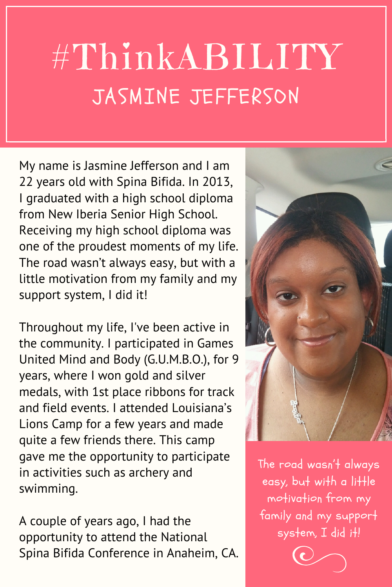## #ThinkABILITY JASMINE JEFFERSON

My name is Jasmine Jefferson and I am 22 years old with Spina Bifida. In 2013, I graduated with a high school diploma from New Iberia Senior High School. Receiving my high school diploma was one of the proudest moments of my life. The road wasn't always easy, but with a little motivation from my family and my support system, I did it!

Throughout my life, I've been active in the community. I participated in Games United Mind and Body (G.U.M.B.O.), for 9 years, where I won gold and silver medals, with 1st place ribbons for track and field events. I attended Louisiana's Lions Camp for a few years and made quite a few friends there. This camp gave me the opportunity to participate in activities such as archery and swimming.

A couple of years ago, I had the opportunity to attend the National Spina Bifida Conference in Anaheim, CA.



The road wasn 't always easy, but with a little motivation from my family and my support system, I did it!